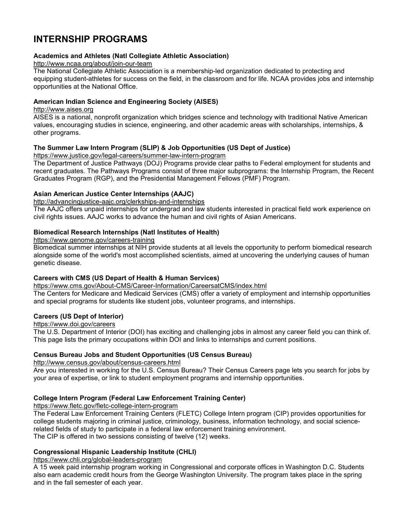# **INTERNSHIP PROGRAMS**

### **[Academics and Athletes \(Natl Collegiate Athletic Association\)](http://www.students.gov/STUGOVWebApp/Public?operation=visit&siteID=491&siteURL=http://www2.ncaa.org/portal/academics_and_athletes)**

#### <http://www.ncaa.org/about/join-our-team>

The National Collegiate Athletic Association is a membership-led organization dedicated to protecting and equipping student-athletes for success on the field, in the classroom and for life. NCAA provides jobs and internship opportunities at the National Office.

### **[American Indian Science and Engineering Society \(AISES\)](http://www.students.gov/STUGOVWebApp/Public?operation=visit&siteID=148&siteURL=http://www.aises.org)**

### [http://www.aises.org](http://www.aises.org/)

AISES is a national, nonprofit organization which bridges science and technology with traditional Native American values, encouraging studies in science, engineering, and other academic areas with scholarships, internships, & other programs.

### **The Summer Law Intern Program (SLIP) [& Job Opportunities \(US Dept of Justice\)](http://www.students.gov/STUGOVWebApp/Public?operation=visit&siteID=474&siteURL=http://www.usdoj.gov/atr/contact/jobs.htm%20)**

<https://www.justice.gov/legal-careers/summer-law-intern-program>

The Department of Justice Pathways (DOJ) Programs provide clear paths to Federal employment for students and recent graduates. The Pathways Programs consist of three major subprograms: the Internship Program, the Recent Graduates Program (RGP), and the Presidential Management Fellows (PMF) Program.

### **[Asian American Justice Center Internships \(AAJC\)](http://www.students.gov/STUGOVWebApp/Public?operation=visit&siteID=319&siteURL=http://www.advancingequality.org/dcm.asp?id=139)**

<http://advancingjustice-aajc.org/clerkships-and-internships>

The AAJC offers unpaid internships for undergrad and law students interested in practical field work experience on civil rights issues. AAJC works to advance the human and civil rights of Asian Americans.

### **[Biomedical Research Internships \(Natl Institutes of Health\)](http://www.students.gov/STUGOVWebApp/Public?operation=visit&siteID=415&siteURL=http://www.genome.gov/10000218)**

<https://www.genome.gov/careers-training>

Biomedical summer internships at NIH provide students at all levels the opportunity to perform biomedical research alongside some of the world's most accomplished scientists, aimed at uncovering the underlying causes of human genetic disease.

# **Careers with CMS (US Depart of Health & Human Services)**

# <https://www.cms.gov/About-CMS/Career-Information/CareersatCMS/index.html>

The Centers for Medicare and Medicaid Services (CMS) offer a variety of employment and internship opportunities and special programs for students like student jobs, volunteer programs, and internships.

# **[Careers \(US Dept of Interior\)](http://www.students.gov/STUGOVWebApp/Public?operation=visit&siteID=242&siteURL=http://www.doi.gov/hrm/employ3.html)**

# <https://www.doi.gov/careers>

The U.S. Department of Interior (DOI) has exciting and challenging jobs in almost any career field you can think of. This page lists the primary occupations within DOI and links to internships and current positions.

#### **[Census Bureau Jobs and Student Opportunities \(US Census Bureau\)](http://www.students.gov/STUGOVWebApp/Public?operation=visit&siteID=266&siteURL=http://www.census.gov/hrd/www)**

<http://www.census.gov/about/census-careers.html>

Are you interested in working for the U.S. Census Bureau? Their Census Careers page lets you search for jobs by your area of expertise, or link to student employment programs and internship opportunities.

# **[College Intern Program \(Federal Law Enforcement Training Center\)](http://www.students.gov/STUGOVWebApp/Public?operation=visit&siteID=288&siteURL=http://www.fletc.gov/student-information/college-intern-program)**

<https://www.fletc.gov/fletc-college-intern-program>

The Federal Law Enforcement Training Centers (FLETC) College Intern program (CIP) provides opportunities for college students majoring in criminal justice, criminology, business, information technology, and social sciencerelated fields of study to participate in a federal law enforcement training environment. The CIP is offered in two sessions consisting of twelve (12) weeks.

# **[Congressional Hispanic Leadership Institute \(CHLI\)](http://www.students.gov/STUGOVWebApp/Public?operation=visit&siteID=895&siteURL=http://www.chli.org)**

<https://www.chli.org/global-leaders-program>

A 15 week paid internship program working in Congressional and corporate offices in Washington D.C. Students also earn academic credit hours from the George Washington University. The program takes place in the spring and in the fall semester of each year.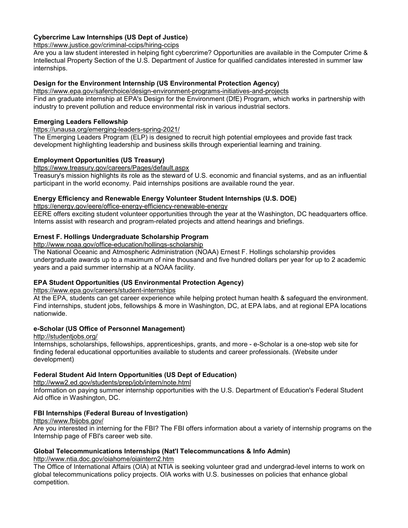# **[Cybercrime Law Internships \(US Dept of Justice\)](http://www.students.gov/STUGOVWebApp/Public?operation=visit&siteID=283&siteURL=http://www.usdoj.gov/criminal/cybercrime/hiring.html)**

<https://www.justice.gov/criminal-ccips/hiring-ccips>

Are you a law student interested in helping fight cybercrime? Opportunities are available in the Computer Crime & Intellectual Property Section of the U.S. Department of Justice for qualified candidates interested in summer law internships.

# **[Design for the Environment Internship \(US Environmental Protection Agency\)](http://www.students.gov/STUGOVWebApp/Public?operation=visit&siteID=190&siteURL=http://www.epa.gov/opptintr/dfe/pubs/about/intern.htm)**

<https://www.epa.gov/saferchoice/design-environment-programs-initiatives-and-projects> Find an graduate internship at EPA's Design for the Environment (DfE) Program, which works in partnership with industry to prevent pollution and reduce environmental risk in various industrial sectors.

### **[Emerging Leaders Fellowship](http://www.students.gov/STUGOVWebApp/Public?operation=visit&siteID=2839&siteURL=http://hhsu.learning.hhs.gov/ELP/)**

### <https://unausa.org/emerging-leaders-spring-2021/>

The Emerging Leaders Program (ELP) is designed to recruit high potential employees and provide fast track development highlighting leadership and business skills through experiential learning and training.

### **[Employment Opportunities \(US Treasury\)](http://www.students.gov/STUGOVWebApp/Public?operation=visit&siteID=286&siteURL=http://www.ustreas.gov/usss/opportunities.shtml)**

<https://www.treasury.gov/careers/Pages/default.aspx>

Treasury's mission highlights its role as the steward of U.S. economic and financial systems, and as an influential participant in the world economy. Paid internships positions are available round the year.

### **[Energy Efficiency and Renewable Energy Volunteer Student Internships \(U.S. DOE\)](http://www.students.gov/STUGOVWebApp/Public?operation=visit&siteID=1780&siteURL=http://www.eere.energy.gov/ba/volunteer.html)**

<https://energy.gov/eere/office-energy-efficiency-renewable-energy>

EERE offers exciting student volunteer opportunities through the year at the Washington, DC headquarters office. Interns assist with research and program-related projects and attend hearings and briefings.

### **Ernest F. Hollings Undergraduate Scholarship Program**

<http://www.noaa.gov/office-education/hollings-scholarship>

The National Oceanic and Atmospheric Administration (NOAA) Ernest F. Hollings scholarship provides undergraduate awards up to a maximum of nine thousand and five hundred dollars per year for up to 2 academic years and a paid summer internship at a NOAA facility.

# **[EPA Student Opportunities \(US Environmental Protection Agency\)](http://www.students.gov/STUGOVWebApp/Public?operation=visit&siteID=443&siteURL=http://www.epa.gov/careers/stuopp.html)**

<https://www.epa.gov/careers/student-internships>

At the EPA, students can get career experience while helping protect human health & safeguard the environment. Find internships, student jobs, fellowships & more in Washington, DC, at EPA labs, and at regional EPA locations nationwide.

# **[e-Scholar \(US Office of Personnel Management\)](http://www.students.gov/STUGOVWebApp/Public?operation=visit&siteID=661&siteURL=http://www.studentjobs.gov/e-scholar.asp)**

<http://studentjobs.org/>

Internships, scholarships, fellowships, apprenticeships, grants, and more - e-Scholar is a one-stop web site for finding federal educational opportunities available to students and career professionals. (Website under development)

# **[Federal Student Aid Intern Opportunities \(US Dept of Education\)](http://www.students.gov/STUGOVWebApp/Public?operation=visit&siteID=454&siteURL=http://www.federalstudentaid.ed.gov/employment/internships)**

<http://www2.ed.gov/students/prep/job/intern/note.html>

Information on paying summer internship opportunities with the U.S. Department of Education's Federal Student Aid office in Washington, DC.

# **[FBI Internships \(Federal Bureau of Investigation\)](http://www.students.gov/STUGOVWebApp/Public?operation=visit&siteID=471&siteURL=http://www.fbijobs.gov/23.asp)**

<https://www.fbijobs.gov/>

Are you interested in interning for the FBI? The FBI offers information about a variety of internship programs on the Internship page of FBI's career web site.

# **[Global Telecommunications Internships \(Nat'l Telecommuncations & Info Admin\)](http://www.students.gov/STUGOVWebApp/Public?operation=visit&siteID=269&siteURL=http://www.ntia.doc.gov/oiahome/oiaintern2.htm)**

<http://www.ntia.doc.gov/oiahome/oiaintern2.htm>

The Office of International Affairs (OIA) at NTIA is seeking volunteer grad and undergrad-level interns to work on global telecommunications policy projects. OIA works with U.S. businesses on policies that enhance global competition.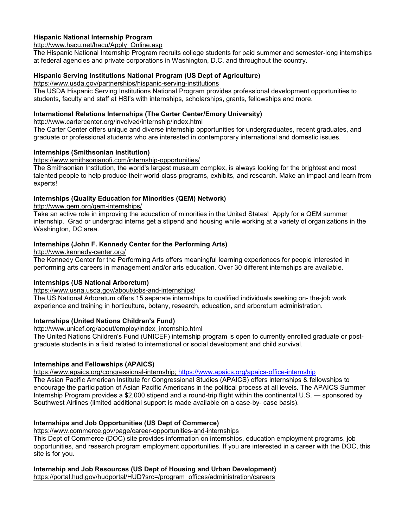# **[Hispanic National Internship Program](http://www.students.gov/STUGOVWebApp/Public?operation=visit&siteID=789&siteURL=http://www.hnip.net)**

#### [http://www.hacu.net/hacu/Apply\\_Online.asp](http://www.hacu.net/hacu/Apply_Online.asp)

The Hispanic National Internship Program recruits college students for paid summer and semester-long internships at federal agencies and private corporations in Washington, D.C. and throughout the country.

# **[Hispanic Serving Institutions National Program \(US Dept of Agriculture\)](http://www.students.gov/STUGOVWebApp/Public?operation=visit&siteID=567&siteURL=http://www.hsi.usda.gov)**

#### <https://www.usda.gov/partnerships/hispanic-serving-institutions>

The USDA Hispanic Serving Institutions National Program provides professional development opportunities to students, faculty and staff at HSI's with internships, scholarships, grants, fellowships and more.

#### **[International Relations Internships \(The Carter Center/Emory University\)](http://www.students.gov/STUGOVWebApp/Public?operation=visit&siteID=371&siteURL=http://www.cartercenter.org/involved/internship/index.html)**

<http://www.cartercenter.org/involved/internship/index.html>

The Carter Center offers unique and diverse internship opportunities for undergraduates, recent graduates, and graduate or professional students who are interested in contemporary international and domestic issues.

### **[Internships \(Smithsonian Institution\)](http://www.students.gov/STUGOVWebApp/Public?operation=visit&siteID=193&siteURL=http://intern.si.edu)**

<https://www.smithsonianofi.com/internship-opportunities/>

The Smithsonian Institution, the world's largest museum complex, is always looking for the brightest and most talented people to help produce their world-class programs, exhibits, and research. Make an impact and learn from experts!

# **Internships (Quality Education for Minorities (QEM) Network)**

<http://www.qem.org/qem-internships/>

Take an active role in improving the education of minorities in the United States! Apply for a QEM summer internship. Grad or undergrad interns get a stipend and housing while working at a variety of organizations in the Washington, DC area.

# **[Internships \(John F. Kennedy Center for the Performing Arts\)](http://www.students.gov/STUGOVWebApp/Public?operation=visit&siteID=131&siteURL=http://kennedy-center.org/education/artsmanagement/internships/)**

<http://www.kennedy-center.org/>

The Kennedy Center for the Performing Arts offers meaningful learning experiences for people interested in performing arts careers in management and/or arts education. Over 30 different internships are available.

#### **[Internships \(US National Arboretum\)](http://www.students.gov/STUGOVWebApp/Public?operation=visit&siteID=173&siteURL=http://www.usna.usda.gov/Education/intern.html)**

<https://www.usna.usda.gov/about/jobs-and-internships/>

The US National Arboretum offers 15 separate internships to qualified individuals seeking on- the-job work experience and training in horticulture, botany, research, education, and arboretum administration.

# **[Internships \(United Nations Children's Fund\)](http://www.students.gov/STUGOVWebApp/Public?operation=visit&siteID=292&siteURL=http://www.unicef.org/about/employ/index_internship.html)**

[http://www.unicef.org/about/employ/index\\_internship.html](http://www.unicef.org/about/employ/index_internship.html)

The United Nations Children's Fund (UNICEF) internship program is open to currently enrolled graduate or postgraduate students in a field related to international or social development and child survival.

#### **[Internships and Fellowships \(APAICS\)](http://www.students.gov/STUGOVWebApp/Public?operation=visit&siteID=472&siteURL=http://www.apaics.org/programs.html)**

[https://www.apaics.org/congressional-internship;](https://www.apaics.org/congressional-internship)<https://www.apaics.org/apaics-office-internship>

The Asian Pacific American Institute for Congressional Studies (APAICS) offers internships & fellowships to encourage the participation of Asian Pacific Americans in the political process at all levels. The APAICS Summer Internship Program provides a \$2,000 stipend and a round-trip flight within the continental U.S. — sponsored by Southwest Airlines (limited additional support is made available on a case-by- case basis).

# **[Internships and Job Opportunities \(US Dept of Commerce\)](http://www.students.gov/STUGOVWebApp/Public?operation=visit&siteID=473&siteURL=http://www.commerce.gov/jobs.html)**

<https://www.commerce.gov/page/career-opportunities-and-internships>

This Dept of Commerce (DOC) site provides information on internships, education employment programs, job opportunities, and research program employment opportunities. If you are interested in a career with the DOC, this site is for you.

# **[Internship and Job Resources \(US Dept of Housing and Urban Development\)](http://www.students.gov/STUGOVWebApp/Public?operation=visit&siteID=238&siteURL=http://www.hud.gov/jobs/index.cfm)**

[https://portal.hud.gov/hudportal/HUD?src=/program\\_offices/administration/careers](https://portal.hud.gov/hudportal/HUD?src=/program_offices/administration/careers%20)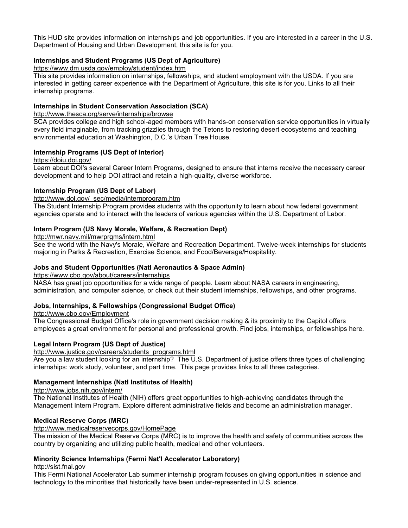This HUD site provides information on internships and job opportunities. If you are interested in a career in the U.S. Department of Housing and Urban Development, this site is for you.

### **[Internships and Student Programs \(US Dept of Agriculture\)](http://www.students.gov/STUGOVWebApp/Public?operation=visit&siteID=245&siteURL=http://www.usda.gov/da/employ/intern.htm)**

<https://www.dm.usda.gov/employ/student/index.htm>

This site provides information on internships, fellowships, and student employment with the USDA. If you are interested in getting career experience with the Department of Agriculture, this site is for you. Links to all their internship programs.

# **Internships in Student Conservation Association (SCA)**

<http://www.thesca.org/serve/internships/browse>

SCA provides college and high school-aged members with hands-on conservation service opportunities in virtually every field imaginable, from tracking grizzlies through the Tetons to restoring desert ecosystems and teaching environmental education at Washington, D.C.'s Urban Tree House.

#### **[Internship Programs \(US Dept of Interior\)](http://www.students.gov/STUGOVWebApp/Public?operation=visit&siteID=212&siteURL=http://www.doiu.nbc.gov/intern.html)**

<https://doiu.doi.gov/>

Learn about DOI's several Career Intern Programs, designed to ensure that interns receive the necessary career development and to help DOI attract and retain a high-quality, diverse workforce.

### **Internship Program (US Dept of Labor)**

#### [http://www.dol.gov/\\_sec/media/internprogram.htm](http://www.dol.gov/_sec/media/internprogram.htm)

The Student Internship Program provides students with the opportunity to learn about how federal government agencies operate and to interact with the leaders of various agencies within the U.S. Department of Labor.

### **[Intern Program \(US Navy Morale, Welfare, & Recreation Dept\)](http://www.students.gov/STUGOVWebApp/Public?operation=visit&siteID=332&siteURL=http://mwr.navy.mil/mwrprgms/intern.html)**

<http://mwr.navy.mil/mwrprgms/intern.html>

See the world with the Navy's Morale, Welfare and Recreation Department. Twelve-week internships for students majoring in Parks & Recreation, Exercise Science, and Food/Beverage/Hospitality.

#### **[Jobs and Student Opportunities \(Natl Aeronautics & Space Admin\)](http://www.students.gov/STUGOVWebApp/Public?operation=visit&siteID=413&siteURL=http://www.nasajobs.nasa.gov)**

<https://www.cbo.gov/about/careers/internships>

NASA has great job opportunities for a wide range of people. Learn about NASA careers in engineering, administration, and computer science, or check out their student internships, fellowships, and other programs.

#### **[Jobs, Internships, & Fellowships \(Congressional Budget Office\)](http://www.students.gov/STUGOVWebApp/Public?operation=visit&siteID=342&siteURL=http://www.cbo.gov/Employment)**

<http://www.cbo.gov/Employment>

The Congressional Budget Office's role in government decision making & its proximity to the Capitol offers employees a great environment for personal and professional growth. Find jobs, internships, or fellowships here.

#### **Legal Intern Program (US Dept of Justice)**

[http://www.justice.gov/careers/students\\_programs.html](http://www.justice.gov/careers/students_programs.html)

Are you a law student looking for an internship? The U.S. Department of justice offers three types of challenging internships: work study, volunteer, and part time. This page provides links to all three categories.

#### **[Management Internships \(Natl Institutes of Health\)](http://www.students.gov/STUGOVWebApp/Public?operation=visit&siteID=279&siteURL=http://internships.info.nih.gov)**

<http://www.jobs.nih.gov/intern/>

The National Institutes of Health (NIH) offers great opportunities to high-achieving candidates through the Management Intern Program. Explore different administrative fields and become an administration manager.

#### **Medical Reserve Corps (MRC)**

<http://www.medicalreservecorps.gov/HomePage>

The mission of the Medical Reserve Corps (MRC) is to improve the health and safety of communities across the country by organizing and utilizing public health, medical and other volunteers.

#### **[Minority Science Internships \(Fermi Nat'l Accelerator Laboratory\)](http://www.students.gov/STUGOVWebApp/Public?operation=visit&siteID=172&siteURL=http://sist.fnal.gov)**

[http://sist.fnal.gov](http://sist.fnal.gov/)

This Fermi National Accelerator Lab summer internship program focuses on giving opportunities in science and technology to the minorities that historically have been under-represented in U.S. science.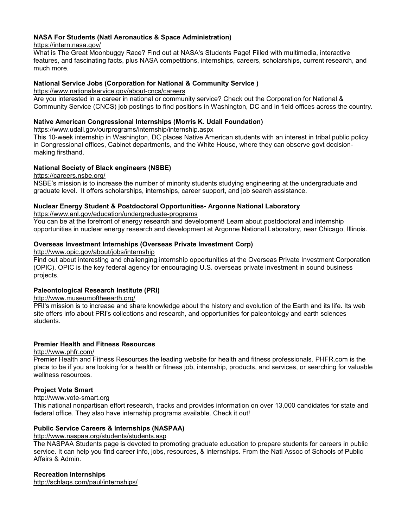# **[NASA For Students \(Natl Aeronautics & Space Administration\)](http://www.students.gov/STUGOVWebApp/Public?operation=visit&siteID=734&siteURL=http://www.nasa.gov/audience/forstudents/postsecondary/features/index.html)**

<https://intern.nasa.gov/>

What is The Great Moonbuggy Race? Find out at NASA's Students Page! Filled with multimedia, interactive features, and fascinating facts, plus NASA competitions, internships, careers, scholarships, current research, and much more.

### **[National Service Jobs \(Corporation for National & Community Service \)](http://www.students.gov/STUGOVWebApp/Public?operation=visit&siteID=476&siteURL=http://www.nationalservice.gov/about/employment/index.asp)**

<https://www.nationalservice.gov/about-cncs/careers>

Are you interested in a career in national or community service? Check out the Corporation for National & Community Service (CNCS) job postings to find positions in Washington, DC and in field offices across the country.

### **Native American Congressional Internships (Morris K. Udall Foundation)**

<https://www.udall.gov/ourprograms/internship/internship.aspx>

This 10-week internship in Washington, DC places Native American students with an interest in tribal public policy in Congressional offices, Cabinet departments, and the White House, where they can observe govt decisionmaking firsthand.

# **National Society of Black engineers (NSBE)**

<https://careers.nsbe.org/>

NSBE's mission is to increase the number of minority students studying engineering at the undergraduate and graduate level. It offers scholarships, internships, career support, and job search assistance.

# **[Nuclear Energy Student & Postdoctoral Opportunities-](http://www.students.gov/STUGOVWebApp/Public?operation=visit&siteID=908&siteURL=http://students.ne.anl.gov/index.html) Argonne National Laboratory**

<https://www.anl.gov/education/undergraduate-programs>

You can be at the forefront of energy research and development! Learn about postdoctoral and internship opportunities in nuclear energy research and development at Argonne National Laboratory, near Chicago, Illinois.

### **Overseas Investment Internships (Overseas Private Investment Corp)**

<http://www.opic.gov/about/jobs/internship>

Find out about interesting and challenging internship opportunities at the Overseas Private Investment Corporation (OPIC). OPIC is the key federal agency for encouraging U.S. overseas private investment in sound business projects.

# **[Paleontological Research Institute \(PRI\)](http://www.students.gov/STUGOVWebApp/Public?operation=visit&siteID=846&siteURL=http://www.museumoftheearth.org/)**

<http://www.museumoftheearth.org/>

PRI's mission is to increase and share knowledge about the history and evolution of the Earth and its life. Its web site offers info about PRI's collections and research, and opportunities for paleontology and earth sciences students.

# **Premier Health and Fitness Resources**

<http://www.phfr.com/>

Premier Health and Fitness Resources the leading website for health and fitness professionals. PHFR.com is the place to be if you are looking for a health or fitness job, internship, products, and services, or searching for valuable wellness resources.

# **[Project Vote Smart](http://www.students.gov/STUGOVWebApp/Public?operation=visit&siteID=116&siteURL=http://www.vote-smart.org)**

[http://www.vote-smart.org](http://www.vote-smart.org/)

This national nonpartisan effort research, tracks and provides information on over 13,000 candidates for state and federal office. They also have internship programs available. Check it out!

# **[Public Service Careers & Internships \(NASPAA\)](http://www.students.gov/STUGOVWebApp/Public?operation=visit&siteID=94&siteURL=http://www.naspaa.org/students/students.asp)**

<http://www.naspaa.org/students/students.asp>

The NASPAA Students page is devoted to promoting graduate education to prepare students for careers in public service. It can help you find career info, jobs, resources, & internships. From the Natl Assoc of Schools of Public Affairs & Admin.

#### **Recreation Internships**

<http://schlags.com/paul/internships/>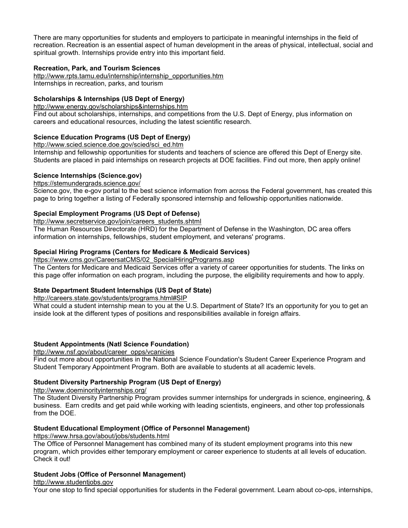There are many opportunities for students and employers to participate in meaningful internships in the field of recreation. Recreation is an essential aspect of human development in the areas of physical, intellectual, social and spiritual growth. Internships provide entry into this important field.

### **Recreation, Park, and Tourism Sciences**

[http://www.rpts.tamu.edu/internship/internship\\_opportunities.htm](https://rpts.tamu.edu/rpts-internships/job-and-internship-openings/) Internships in recreation, parks, and tourism

# **[Scholarships & Internships \(US Dept of Energy\)](http://www.students.gov/STUGOVWebApp/Public?operation=visit&siteID=211&siteURL=http://www.energy.gov/scholarships%26internships.htm)**

<http://www.energy.gov/scholarships&internships.htm> Find out about scholarships, internships, and competitions from the U.S. Dept of Energy, plus information on careers and educational resources, including the latest scientific research.

# **[Science Education Programs \(US Dept of Energy\)](http://www.students.gov/STUGOVWebApp/Public?operation=visit&siteID=264&siteURL=http://www.scied.science.doe.gov/scied/sci_ed.htm)**

[http://www.scied.science.doe.gov/scied/sci\\_ed.htm](http://www.scied.science.doe.gov/scied/sci_ed.htm)

Internship and fellowship opportunities for students and teachers of science are offered this Dept of Energy site. Students are placed in paid internships on research projects at DOE facilities. Find out more, then apply online!

### **[Science Internships \(Science.gov\)](http://www.students.gov/STUGOVWebApp/Public?operation=visit&siteID=727&siteURL=http://www.science.gov/internships)**

<https://stemundergrads.science.gov/>

Science.gov, the e-gov portal to the best science information from across the Federal government, has created this page to bring together a listing of Federally sponsored internship and fellowship opportunities nationwide.

# **[Special Employment Programs \(US Dept of Defense\)](http://www.students.gov/STUGOVWebApp/Public?operation=visit&siteID=519&siteURL=http://hrd.whs.mil/page.cfm?info=20)**

[http://www.secretservice.gov/join/careers\\_students.shtml](http://www.secretservice.gov/join/careers_students.shtml)

The Human Resources Directorate (HRD) for the Department of Defense in the Washington, DC area offers information on internships, fellowships, student employment, and veterans' programs.

# **[Special Hiring Programs \(Centers for Medicare & Medicaid Services\)](http://www.students.gov/STUGOVWebApp/Public?operation=visit&siteID=75&siteURL=http://www.cms.hhs.gov/CareersatCMS/02_SpecialHiringPrograms.asp)**

[https://www.cms.gov/CareersatCMS/02\\_SpecialHiringPrograms.asp](https://www.cms.gov/CareersatCMS/02_SpecialHiringPrograms.asp)

The Centers for Medicare and Medicaid Services offer a variety of career opportunities for students. The links on this page offer information on each program, including the purpose, the eligibility requirements and how to apply.

# **[State Department Student Internships \(US Dept of State\)](http://www.students.gov/STUGOVWebApp/Public?operation=visit&siteID=96&siteURL=http://careers.state.gov/students/programs.html#SIP)**

<http://careers.state.gov/students/programs.html#SIP>

What could a student internship mean to you at the U.S. Department of State? It's an opportunity for you to get an inside look at the different types of positions and responsibilities available in foreign affairs.

# **[Student Appointments \(Natl Science Foundation\)](http://www.students.gov/STUGOVWebApp/Public?operation=visit&siteID=21&siteURL=http://www.nsf.gov/about/career_opps/careers/student.jsp)**

[http://www.nsf.gov/about/career\\_opps/vcanicies](http://www.nsf.gov/about/career_opps/vcanicies)

Find out more about opportunities in the National Science Foundation's Student Career Experience Program and Student Temporary Appointment Program. Both are available to students at all academic levels.

# **Student Diversity Partnership Program (US Dept of Energy)**

[http://www.doeminorityinternships.org/](https://www.energy.gov/diversity/minority-educational-institution-student-partnership-program-meispp-internships)

The Student Diversity Partnership Program provides summer internships for undergrads in science, engineering, & business. Earn credits and get paid while working with leading scientists, engineers, and other top professionals from the DOE.

# **[Student Educational Employment \(Office of Personnel Management\)](http://www.students.gov/STUGOVWebApp/Public?operation=visit&siteID=345&siteURL=http://www.opm.gov/employ/students/index.asp)**

<https://www.hrsa.gov/about/jobs/students.html>

The Office of Personnel Management has combined many of its student employment programs into this new program, which provides either temporary employment or career experience to students at all levels of education. Check it out!

# **Student [Jobs \(Office of Personnel Management\)](http://www.students.gov/STUGOVWebApp/Public?operation=visit&siteID=309&siteURL=http://www.studentjobs.gov)**

#### [http://www.studentjobs.gov](http://www.studentjobs.gov/)

Your one stop to find special opportunities for students in the Federal government. Learn about co-ops, internships,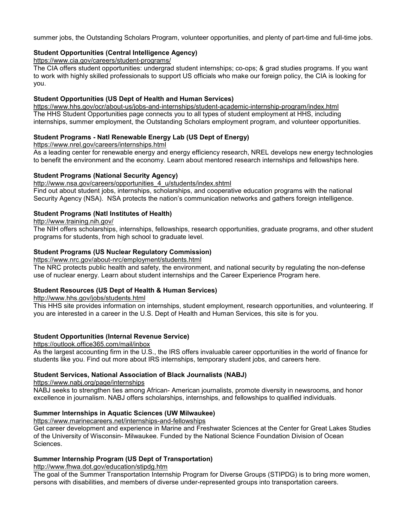summer jobs, the Outstanding Scholars Program, volunteer opportunities, and plenty of part-time and full-time jobs.

### **[Student Opportunities \(Central Intelligence Agency\)](http://www.students.gov/STUGOVWebApp/Public?operation=visit&siteID=300&siteURL=https://www.cia.gov/careers/jobs/view-all-jobs/college-students-analytical-positions/index.html)**

<https://www.cia.gov/careers/student-programs/>

The CIA offers student opportunities: undergrad student internships; co-ops; & grad studies programs. If you want to work with highly skilled professionals to support US officials who make our foreign policy, the CIA is looking for you.

### **[Student Opportunities \(US Dept of Health and Human Services\)](http://www.students.gov/STUGOVWebApp/Public?operation=visit&siteID=277&siteURL=http://career.psc.gov/studentopps.taf?_Title=Student)**

<https://www.hhs.gov/ocr/about-us/jobs-and-internships/student-academic-internship-program/index.html> The HHS Student Opportunities page connects you to all types of student employment at HHS, including internships, summer employment, the Outstanding Scholars employment program, and volunteer opportunities.

# **Student Programs - [Natl Renewable Energy Lab \(US Dept of Energy\)](http://www.students.gov/STUGOVWebApp/Public?operation=visit&siteID=722&siteURL=http://www.nrel.gov/education/graduate.html)**

<https://www.nrel.gov/careers/internships.html>

As a leading center for renewable energy and energy efficiency research, NREL develops new energy technologies to benefit the environment and the economy. Learn about mentored research internships and fellowships here.

### **Student Programs (National Security Agency)**

#### [http://www.nsa.gov/careers/opportunities\\_4\\_u/students/index.shtml](http://www.nsa.gov/careers/opportunities_4_u/students/index.shtml)

Find out about student jobs, internships, scholarships, and cooperative education programs with the national Security Agency (NSA). NSA protects the nation's communication networks and gathers foreign intelligence.

### **[Student Programs \(Natl Institutes of Health\)](http://www.students.gov/STUGOVWebApp/Public?operation=visit&siteID=175&siteURL=http://www.training.nih.gov/student)**

<http://www.training.nih.gov/>

The NIH offers scholarships, internships, fellowships, research opportunities, graduate programs, and other student programs for students, from high school to graduate level.

### **[Student Programs \(US Nuclear Regulatory Commission\)](http://www.students.gov/STUGOVWebApp/Public?operation=visit&siteID=731&siteURL=http://www.nrc.gov/about-nrc/employment/student-prog.html)**

<https://www.nrc.gov/about-nrc/employment/students.html>

The NRC protects public health and safety, the environment, and national security by regulating the non-defense use of nuclear energy. Learn about student internships and the Career Experience Program here.

#### **[Student Resources \(US Dept of Health & Human Services\)](http://www.students.gov/STUGOVWebApp/Public?operation=visit&siteID=239&siteURL=http://www.hhs.gov/jobs/students.html)**

[http://www.hhs.gov/jobs/students.html](https://www.hhs.gov/programs/index.html) 

This HHS site provides information on internships, student employment, research opportunities, and volunteering. If you are interested in a career in the U.S. Dept of Health and Human Services, this site is for you.

# **[Student Opportunities \(Internal Revenue Service\)](http://www.students.gov/STUGOVWebApp/Public?operation=visit&siteID=866&siteURL=http://jobs.irs.gov/stu_employment.html)**

<https://outlook.office365.com/mail/inbox>

As the largest accounting firm in the U.S., the IRS offers invaluable career opportunities in the world of finance for students like you. Find out more about IRS internships, temporary student jobs, and careers here.

#### **[Student Services, National Association of Black Journalists \(NABJ\)](http://www.students.gov/STUGOVWebApp/Public?operation=visit&siteID=524&siteURL=http://www.nabj.org/programs/scholarships/index.php)**

<https://www.nabj.org/page/internships>

NABJ seeks to strengthen ties among African- American journalists, promote diversity in newsrooms, and honor excellence in journalism. NABJ offers scholarships, internships, and fellowships to qualified individuals.

#### **[Summer Internships in Aquatic Sciences \(UW Milwaukee\)](http://www.students.gov/STUGOVWebApp/Public?operation=visit&siteID=876&siteURL=http://www.uwm.edu/Dept/GLWI/reu/index.html)**

<https://www.marinecareers.net/internships-and-fellowships>

Get career development and experience in Marine and Freshwater Sciences at the Center for Great Lakes Studies of the University of Wisconsin- Milwaukee. Funded by the National Science Foundation Division of Ocean Sciences.

#### **[Summer Internship Program \(US Dept of Transportation\)](http://www.students.gov/STUGOVWebApp/Public?operation=visit&siteID=295&siteURL=http://www.fhwa.dot.gov/education/stipdg.htm)**

<http://www.fhwa.dot.gov/education/stipdg.htm>

The goal of the Summer Transportation Internship Program for Diverse Groups (STIPDG) is to bring more women, persons with disabilities, and members of diverse under-represented groups into transportation careers.